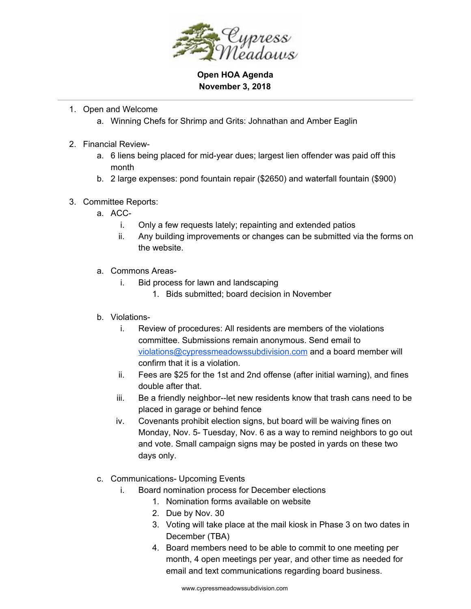

**Open HOA Agenda November 3, 2018**

- 1. Open and Welcome
	- a. Winning Chefs for Shrimp and Grits: Johnathan and Amber Eaglin
- 2. Financial Review
	- a. 6 liens being placed for mid-year dues; largest lien offender was paid off this month
	- b. 2 large expenses: pond fountain repair (\$2650) and waterfall fountain (\$900)
- 3. Committee Reports:
	- a. ACC
		- i. Only a few requests lately; repainting and extended patios
		- ii. Any building improvements or changes can be submitted via the forms on the website.
	- a. Commons Areas
		- i. Bid process for lawn and landscaping
			- 1. Bids submitted; board decision in November
	- b. Violations
		- i. Review of procedures: All residents are members of the violations committee. Submissions remain anonymous. Send email to [violations@cypressmeadowssubdivision.com](mailto:violations@cypressmeadowssubdivision.com) and a board member will confirm that it is a violation.
		- ii. Fees are \$25 for the 1st and 2nd offense (after initial warning), and fines double after that.
		- iii. Be a friendly neighbor--let new residents know that trash cans need to be placed in garage or behind fence
		- iv. Covenants prohibit election signs, but board will be waiving fines on Monday, Nov. 5- Tuesday, Nov. 6 as a way to remind neighbors to go out and vote. Small campaign signs may be posted in yards on these two days only.
	- c. Communications- Upcoming Events
		- i. Board nomination process for December elections
			- 1. Nomination forms available on website
			- 2. Due by Nov. 30
			- 3. Voting will take place at the mail kiosk in Phase 3 on two dates in December (TBA)
			- 4. Board members need to be able to commit to one meeting per month, 4 open meetings per year, and other time as needed for email and text communications regarding board business.